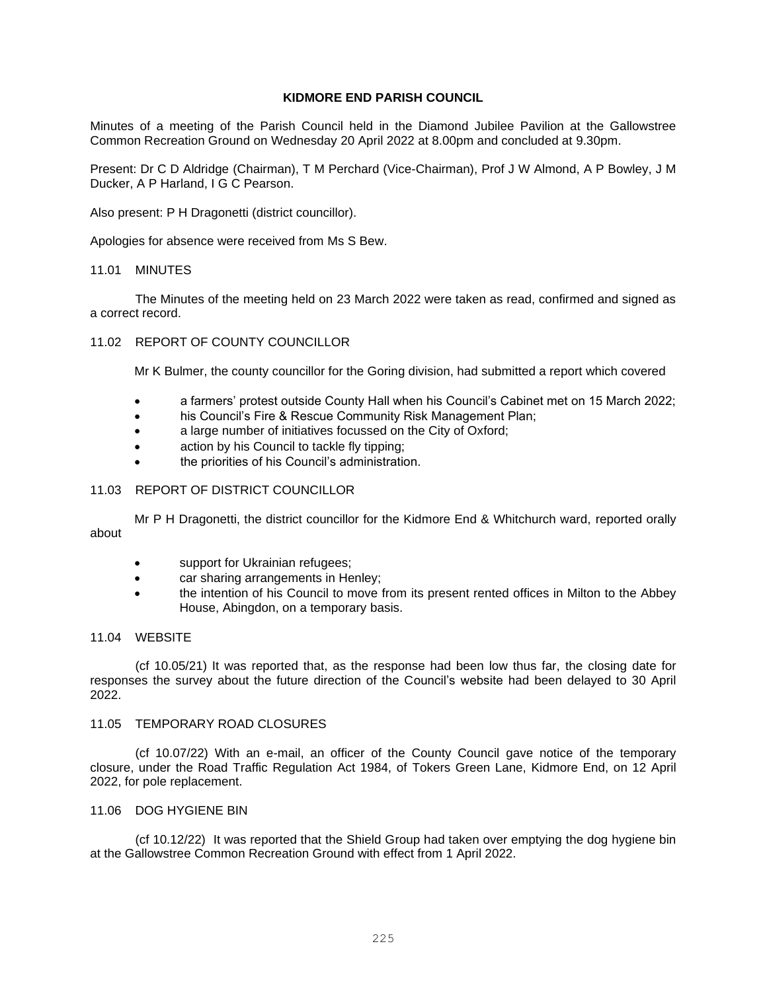## **KIDMORE END PARISH COUNCIL**

Minutes of a meeting of the Parish Council held in the Diamond Jubilee Pavilion at the Gallowstree Common Recreation Ground on Wednesday 20 April 2022 at 8.00pm and concluded at 9.30pm.

Present: Dr C D Aldridge (Chairman), T M Perchard (Vice-Chairman), Prof J W Almond, A P Bowley, J M Ducker, A P Harland, I G C Pearson.

Also present: P H Dragonetti (district councillor).

Apologies for absence were received from Ms S Bew.

### 11.01 MINUTES

The Minutes of the meeting held on 23 March 2022 were taken as read, confirmed and signed as a correct record.

### 11.02 REPORT OF COUNTY COUNCILLOR

Mr K Bulmer, the county councillor for the Goring division, had submitted a report which covered

- a farmers' protest outside County Hall when his Council's Cabinet met on 15 March 2022;
- his Council's Fire & Rescue Community Risk Management Plan;
- a large number of initiatives focussed on the City of Oxford;
- action by his Council to tackle fly tipping;
- the priorities of his Council's administration.

## 11.03 REPORT OF DISTRICT COUNCILLOR

Mr P H Dragonetti, the district councillor for the Kidmore End & Whitchurch ward, reported orally about

- support for Ukrainian refugees;
- car sharing arrangements in Henley;
- the intention of his Council to move from its present rented offices in Milton to the Abbey House, Abingdon, on a temporary basis.

### 11.04 WEBSITE

(cf 10.05/21) It was reported that, as the response had been low thus far, the closing date for responses the survey about the future direction of the Council's website had been delayed to 30 April 2022.

#### 11.05 TEMPORARY ROAD CLOSURES

(cf 10.07/22) With an e-mail, an officer of the County Council gave notice of the temporary closure, under the Road Traffic Regulation Act 1984, of Tokers Green Lane, Kidmore End, on 12 April 2022, for pole replacement.

## 11.06 DOG HYGIENE BIN

(cf 10.12/22) It was reported that the Shield Group had taken over emptying the dog hygiene bin at the Gallowstree Common Recreation Ground with effect from 1 April 2022.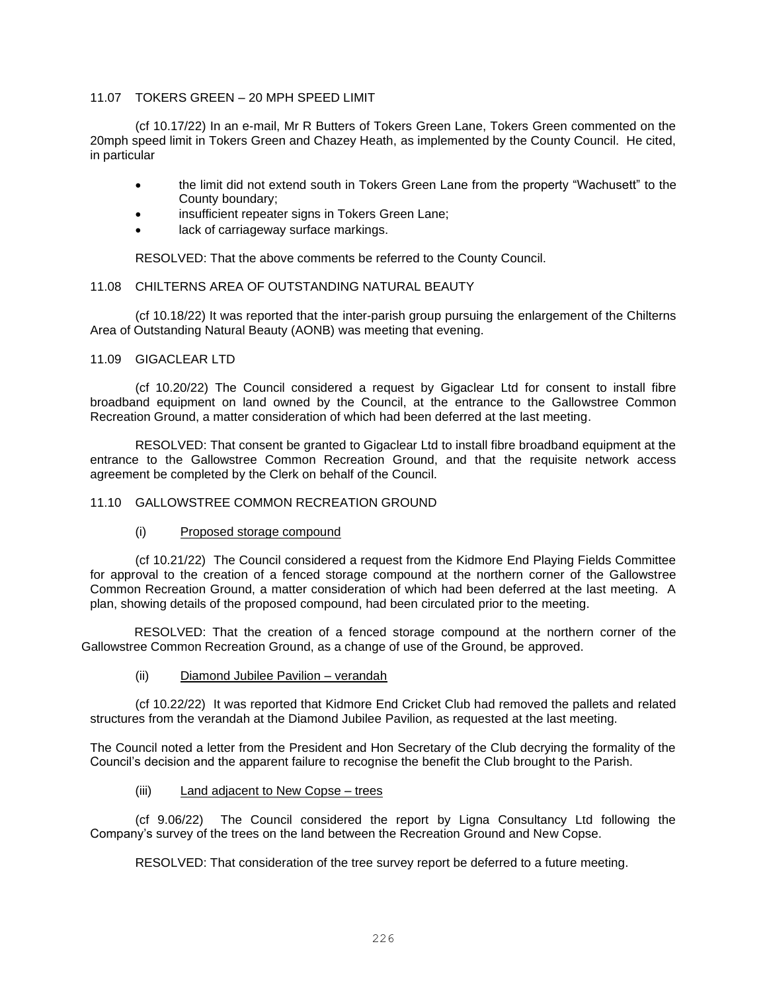## 11.07 TOKERS GREEN – 20 MPH SPEED LIMIT

(cf 10.17/22) In an e-mail, Mr R Butters of Tokers Green Lane, Tokers Green commented on the 20mph speed limit in Tokers Green and Chazey Heath, as implemented by the County Council. He cited, in particular

- the limit did not extend south in Tokers Green Lane from the property "Wachusett" to the County boundary;
- insufficient repeater signs in Tokers Green Lane;
- lack of carriageway surface markings.

RESOLVED: That the above comments be referred to the County Council.

## 11.08 CHILTERNS AREA OF OUTSTANDING NATURAL BEAUTY

(cf 10.18/22) It was reported that the inter-parish group pursuing the enlargement of the Chilterns Area of Outstanding Natural Beauty (AONB) was meeting that evening.

## 11.09 GIGACLEAR LTD

(cf 10.20/22) The Council considered a request by Gigaclear Ltd for consent to install fibre broadband equipment on land owned by the Council, at the entrance to the Gallowstree Common Recreation Ground, a matter consideration of which had been deferred at the last meeting.

RESOLVED: That consent be granted to Gigaclear Ltd to install fibre broadband equipment at the entrance to the Gallowstree Common Recreation Ground, and that the requisite network access agreement be completed by the Clerk on behalf of the Council.

## 11.10 GALLOWSTREE COMMON RECREATION GROUND

(i) Proposed storage compound

(cf 10.21/22) The Council considered a request from the Kidmore End Playing Fields Committee for approval to the creation of a fenced storage compound at the northern corner of the Gallowstree Common Recreation Ground, a matter consideration of which had been deferred at the last meeting. A plan, showing details of the proposed compound, had been circulated prior to the meeting.

RESOLVED: That the creation of a fenced storage compound at the northern corner of the Gallowstree Common Recreation Ground, as a change of use of the Ground, be approved.

(ii) Diamond Jubilee Pavilion – verandah

(cf 10.22/22) It was reported that Kidmore End Cricket Club had removed the pallets and related structures from the verandah at the Diamond Jubilee Pavilion, as requested at the last meeting.

The Council noted a letter from the President and Hon Secretary of the Club decrying the formality of the Council's decision and the apparent failure to recognise the benefit the Club brought to the Parish.

## (iii) Land adjacent to New Copse – trees

(cf 9.06/22) The Council considered the report by Ligna Consultancy Ltd following the Company's survey of the trees on the land between the Recreation Ground and New Copse.

RESOLVED: That consideration of the tree survey report be deferred to a future meeting.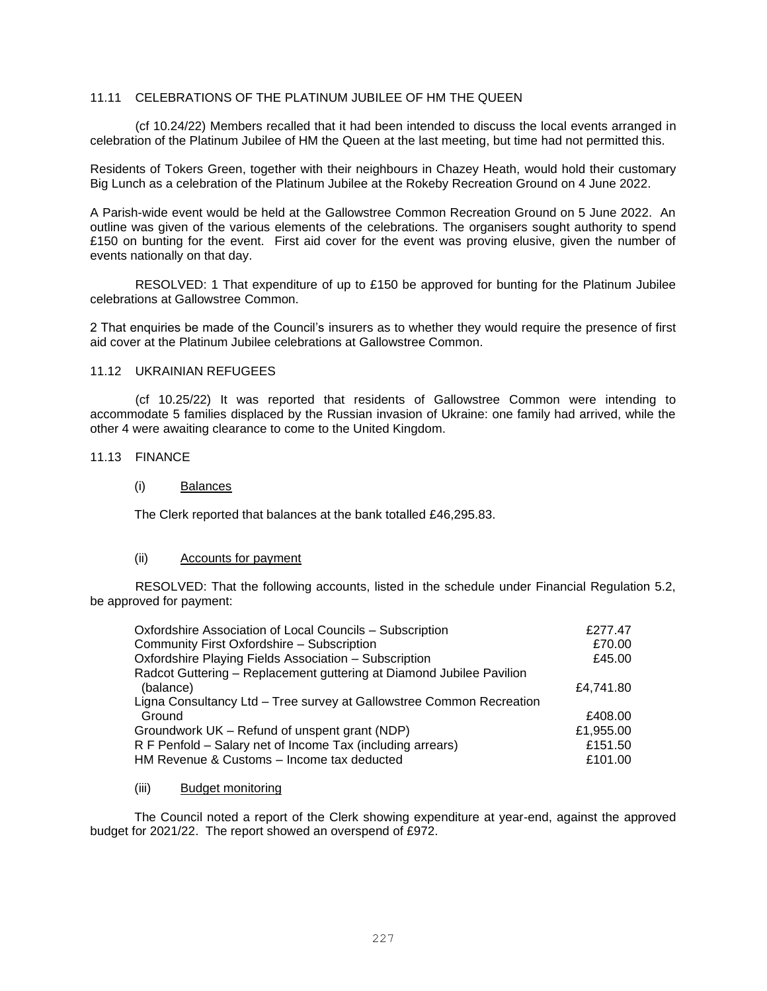## 11.11 CELEBRATIONS OF THE PLATINUM JUBILEE OF HM THE QUEEN

(cf 10.24/22) Members recalled that it had been intended to discuss the local events arranged in celebration of the Platinum Jubilee of HM the Queen at the last meeting, but time had not permitted this.

Residents of Tokers Green, together with their neighbours in Chazey Heath, would hold their customary Big Lunch as a celebration of the Platinum Jubilee at the Rokeby Recreation Ground on 4 June 2022.

A Parish-wide event would be held at the Gallowstree Common Recreation Ground on 5 June 2022. An outline was given of the various elements of the celebrations. The organisers sought authority to spend £150 on bunting for the event. First aid cover for the event was proving elusive, given the number of events nationally on that day.

RESOLVED: 1 That expenditure of up to £150 be approved for bunting for the Platinum Jubilee celebrations at Gallowstree Common.

2 That enquiries be made of the Council's insurers as to whether they would require the presence of first aid cover at the Platinum Jubilee celebrations at Gallowstree Common.

## 11.12 UKRAINIAN REFUGEES

(cf 10.25/22) It was reported that residents of Gallowstree Common were intending to accommodate 5 families displaced by the Russian invasion of Ukraine: one family had arrived, while the other 4 were awaiting clearance to come to the United Kingdom.

# 11.13 FINANCE

### (i) Balances

The Clerk reported that balances at the bank totalled £46,295.83.

## (ii) Accounts for payment

RESOLVED: That the following accounts, listed in the schedule under Financial Regulation 5.2, be approved for payment:

| Oxfordshire Association of Local Councils - Subscription             | £277.47   |
|----------------------------------------------------------------------|-----------|
| Community First Oxfordshire - Subscription                           | £70.00    |
| Oxfordshire Playing Fields Association - Subscription                | £45.00    |
| Radcot Guttering - Replacement guttering at Diamond Jubilee Pavilion |           |
| (balance)                                                            | £4.741.80 |
| Ligna Consultancy Ltd - Tree survey at Gallowstree Common Recreation |           |
| Ground                                                               | £408.00   |
| Groundwork UK – Refund of unspent grant (NDP)                        | £1,955.00 |
| R F Penfold - Salary net of Income Tax (including arrears)           | £151.50   |
| HM Revenue & Customs - Income tax deducted                           | £101.00   |

#### (iii) Budget monitoring

The Council noted a report of the Clerk showing expenditure at year-end, against the approved budget for 2021/22. The report showed an overspend of £972.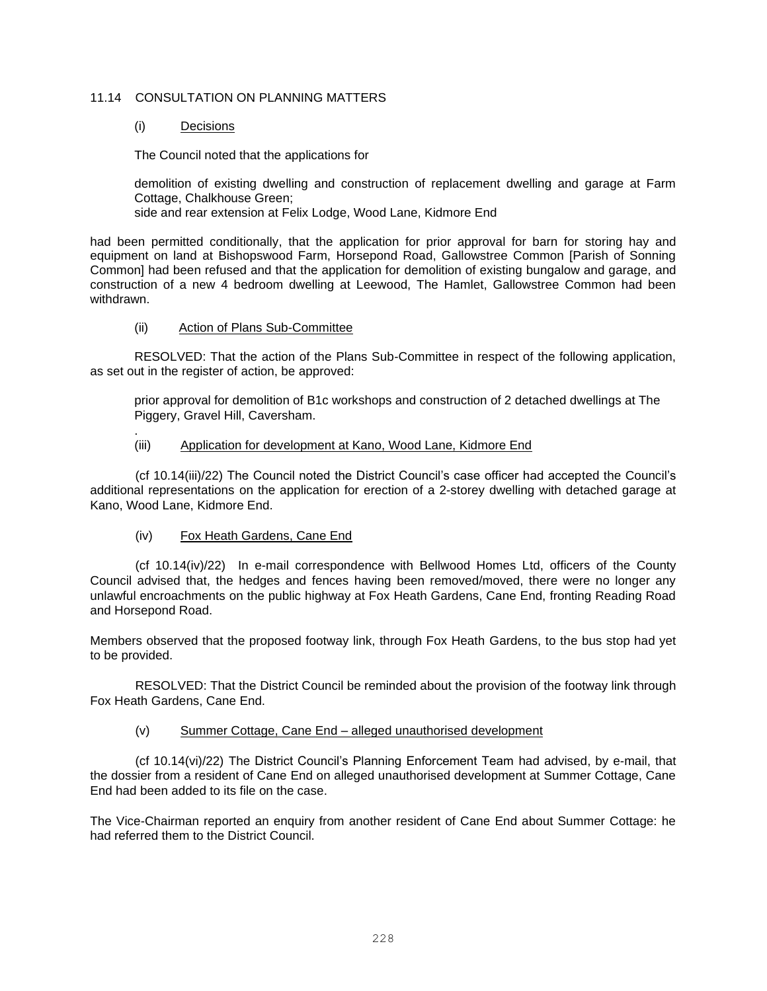## 11.14 CONSULTATION ON PLANNING MATTERS

## (i) Decisions

.

The Council noted that the applications for

demolition of existing dwelling and construction of replacement dwelling and garage at Farm Cottage, Chalkhouse Green;

side and rear extension at Felix Lodge, Wood Lane, Kidmore End

had been permitted conditionally, that the application for prior approval for barn for storing hay and equipment on land at Bishopswood Farm, Horsepond Road, Gallowstree Common [Parish of Sonning Common] had been refused and that the application for demolition of existing bungalow and garage, and construction of a new 4 bedroom dwelling at Leewood, The Hamlet, Gallowstree Common had been withdrawn.

## (ii) Action of Plans Sub-Committee

RESOLVED: That the action of the Plans Sub-Committee in respect of the following application, as set out in the register of action, be approved:

prior approval for demolition of B1c workshops and construction of 2 detached dwellings at The Piggery, Gravel Hill, Caversham.

## (iii) Application for development at Kano, Wood Lane, Kidmore End

(cf 10.14(iii)/22) The Council noted the District Council's case officer had accepted the Council's additional representations on the application for erection of a 2-storey dwelling with detached garage at Kano, Wood Lane, Kidmore End.

# (iv) Fox Heath Gardens, Cane End

(cf 10.14(iv)/22) In e-mail correspondence with Bellwood Homes Ltd, officers of the County Council advised that, the hedges and fences having been removed/moved, there were no longer any unlawful encroachments on the public highway at Fox Heath Gardens, Cane End, fronting Reading Road and Horsepond Road.

Members observed that the proposed footway link, through Fox Heath Gardens, to the bus stop had yet to be provided.

RESOLVED: That the District Council be reminded about the provision of the footway link through Fox Heath Gardens, Cane End.

# (v) Summer Cottage, Cane End – alleged unauthorised development

(cf 10.14(vi)/22) The District Council's Planning Enforcement Team had advised, by e-mail, that the dossier from a resident of Cane End on alleged unauthorised development at Summer Cottage, Cane End had been added to its file on the case.

The Vice-Chairman reported an enquiry from another resident of Cane End about Summer Cottage: he had referred them to the District Council.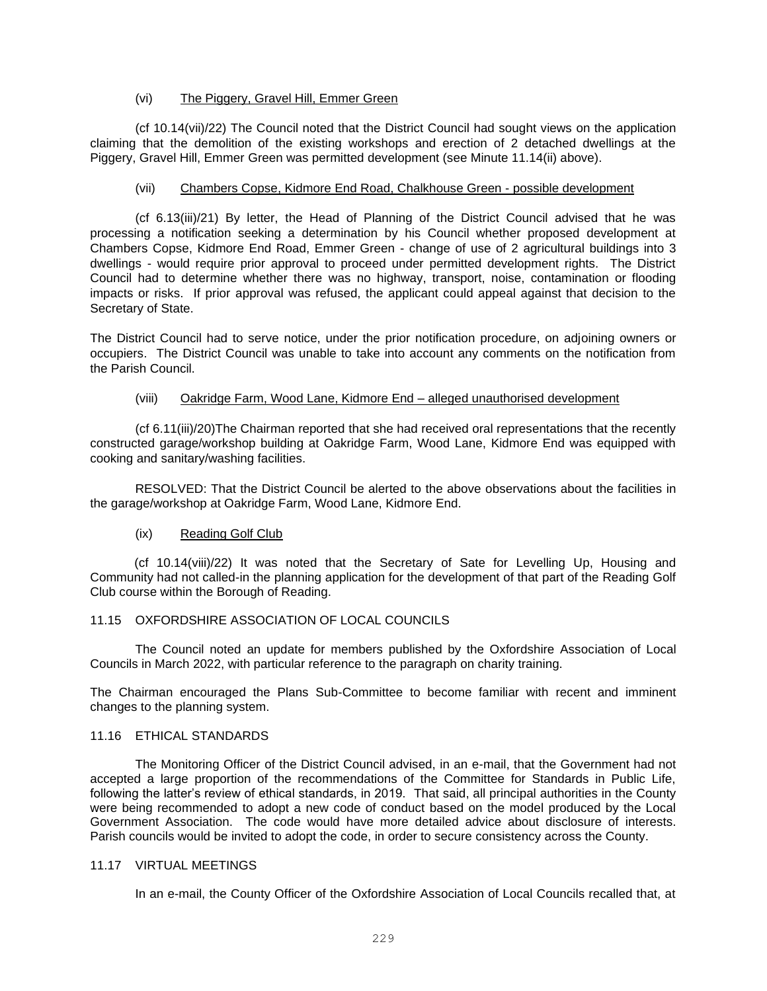## (vi) The Piggery, Gravel Hill, Emmer Green

(cf 10.14(vii)/22) The Council noted that the District Council had sought views on the application claiming that the demolition of the existing workshops and erection of 2 detached dwellings at the Piggery, Gravel Hill, Emmer Green was permitted development (see Minute 11.14(ii) above).

## (vii) Chambers Copse, Kidmore End Road, Chalkhouse Green - possible development

(cf 6.13(iii)/21) By letter, the Head of Planning of the District Council advised that he was processing a notification seeking a determination by his Council whether proposed development at Chambers Copse, Kidmore End Road, Emmer Green - change of use of 2 agricultural buildings into 3 dwellings - would require prior approval to proceed under permitted development rights. The District Council had to determine whether there was no highway, transport, noise, contamination or flooding impacts or risks. If prior approval was refused, the applicant could appeal against that decision to the Secretary of State.

The District Council had to serve notice, under the prior notification procedure, on adjoining owners or occupiers. The District Council was unable to take into account any comments on the notification from the Parish Council.

## (viii) Oakridge Farm, Wood Lane, Kidmore End – alleged unauthorised development

(cf 6.11(iii)/20)The Chairman reported that she had received oral representations that the recently constructed garage/workshop building at Oakridge Farm, Wood Lane, Kidmore End was equipped with cooking and sanitary/washing facilities.

RESOLVED: That the District Council be alerted to the above observations about the facilities in the garage/workshop at Oakridge Farm, Wood Lane, Kidmore End.

# (ix) Reading Golf Club

(cf 10.14(viii)/22) It was noted that the Secretary of Sate for Levelling Up, Housing and Community had not called-in the planning application for the development of that part of the Reading Golf Club course within the Borough of Reading.

## 11.15 OXFORDSHIRE ASSOCIATION OF LOCAL COUNCILS

The Council noted an update for members published by the Oxfordshire Association of Local Councils in March 2022, with particular reference to the paragraph on charity training.

The Chairman encouraged the Plans Sub-Committee to become familiar with recent and imminent changes to the planning system.

## 11.16 ETHICAL STANDARDS

The Monitoring Officer of the District Council advised, in an e-mail, that the Government had not accepted a large proportion of the recommendations of the Committee for Standards in Public Life, following the latter's review of ethical standards, in 2019. That said, all principal authorities in the County were being recommended to adopt a new code of conduct based on the model produced by the Local Government Association. The code would have more detailed advice about disclosure of interests. Parish councils would be invited to adopt the code, in order to secure consistency across the County.

## 11.17 VIRTUAL MEETINGS

In an e-mail, the County Officer of the Oxfordshire Association of Local Councils recalled that, at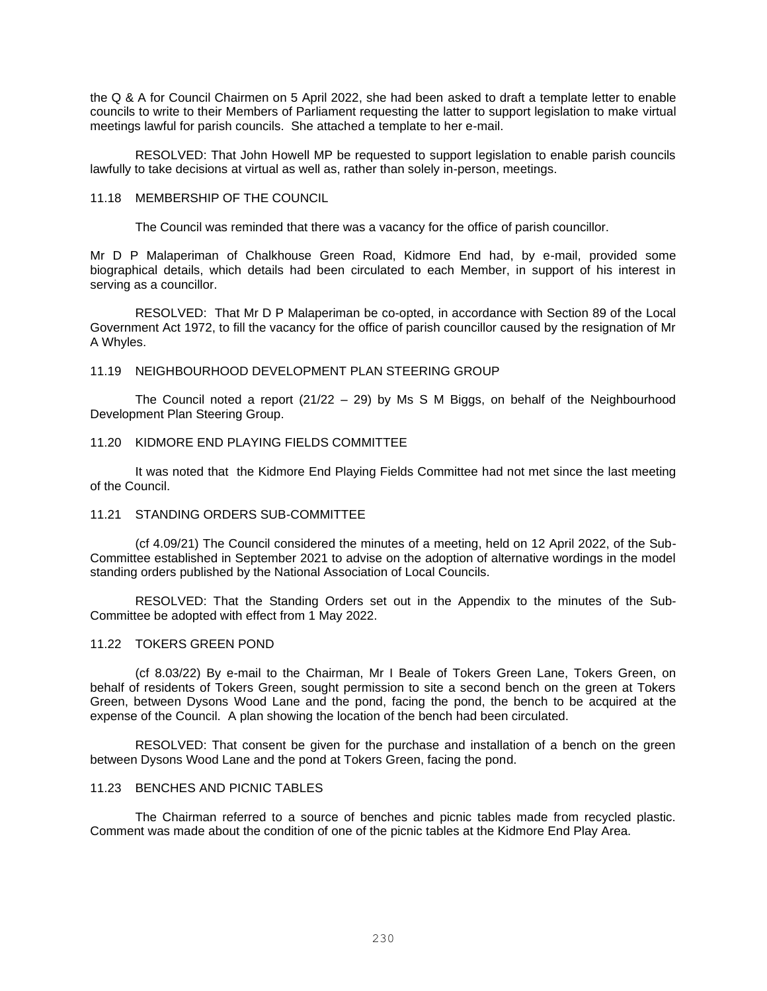the Q & A for Council Chairmen on 5 April 2022, she had been asked to draft a template letter to enable councils to write to their Members of Parliament requesting the latter to support legislation to make virtual meetings lawful for parish councils. She attached a template to her e-mail.

RESOLVED: That John Howell MP be requested to support legislation to enable parish councils lawfully to take decisions at virtual as well as, rather than solely in-person, meetings.

### 11.18 MEMBERSHIP OF THE COUNCIL

The Council was reminded that there was a vacancy for the office of parish councillor.

Mr D P Malaperiman of Chalkhouse Green Road, Kidmore End had, by e-mail, provided some biographical details, which details had been circulated to each Member, in support of his interest in serving as a councillor.

RESOLVED: That Mr D P Malaperiman be co-opted, in accordance with Section 89 of the Local Government Act 1972, to fill the vacancy for the office of parish councillor caused by the resignation of Mr A Whyles.

## 11.19 NEIGHBOURHOOD DEVELOPMENT PLAN STEERING GROUP

The Council noted a report  $(21/22 - 29)$  by Ms S M Biggs, on behalf of the Neighbourhood Development Plan Steering Group.

## 11.20 KIDMORE END PLAYING FIELDS COMMITTEE

It was noted that the Kidmore End Playing Fields Committee had not met since the last meeting of the Council.

#### 11.21 STANDING ORDERS SUB-COMMITTEE

(cf 4.09/21) The Council considered the minutes of a meeting, held on 12 April 2022, of the Sub-Committee established in September 2021 to advise on the adoption of alternative wordings in the model standing orders published by the National Association of Local Councils.

RESOLVED: That the Standing Orders set out in the Appendix to the minutes of the Sub-Committee be adopted with effect from 1 May 2022.

# 11.22 TOKERS GREEN POND

(cf 8.03/22) By e-mail to the Chairman, Mr I Beale of Tokers Green Lane, Tokers Green, on behalf of residents of Tokers Green, sought permission to site a second bench on the green at Tokers Green, between Dysons Wood Lane and the pond, facing the pond, the bench to be acquired at the expense of the Council. A plan showing the location of the bench had been circulated.

RESOLVED: That consent be given for the purchase and installation of a bench on the green between Dysons Wood Lane and the pond at Tokers Green, facing the pond.

#### 11.23 BENCHES AND PICNIC TABLES

The Chairman referred to a source of benches and picnic tables made from recycled plastic. Comment was made about the condition of one of the picnic tables at the Kidmore End Play Area.